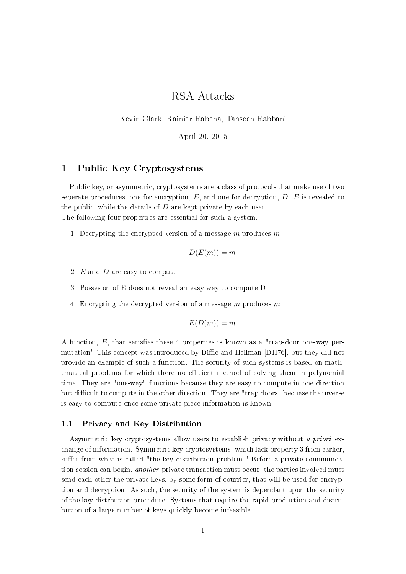# RSA Attacks

Kevin Clark, Rainier Rabena, Tahseen Rabbani

April 20, 2015

## 1 Public Key Cryptosystems

Public key, or asymmetric, cryptosystems are a class of protocols that make use of two seperate procedures, one for encryption,  $E$ , and one for decryption,  $D$ .  $E$  is revealed to the public, while the details of  $D$  are kept private by each user. The following four properties are essential for such a system.

1. Decrypting the encrypted version of a message  $m$  produces  $m$ 

$$
D(E(m))=m
$$

- 2. E and D are easy to compute
- 3. Possesion of E does not reveal an easy way to compute D.
- 4. Encrypting the decrypted version of a message  $m$  produces  $m$

$$
E(D(m))=m
$$

A function,  $E$ , that satisfies these 4 properties is known as a "trap-door one-way permutation" This concept was introduced by Diffie and Hellman [DH76], but they did not provide an example of such a function. The security of such systems is based on mathematical problems for which there no efficient method of solving them in polynomial time. They are "one-way" functions because they are easy to compute in one direction but difficult to compute in the other direction. They are "trap doors" becuase the inverse is easy to compute once some private piece information is known.

### 1.1 Privacy and Key Distribution

Asymmetric key cryptosystems allow users to establish privacy without a priori exchange of information. Symmetric key cryptosystems, which lack property 3 from earlier, suffer from what is called "the key distribution problem." Before a private communication session can begin, *another* private transaction must occur; the parties involved must send each other the private keys, by some form of courrier, that will be used for encryption and decryption. As such, the security of the system is dependant upon the security of the key distrbution procedure. Systems that require the rapid production and distrubution of a large number of keys quickly become infeasible.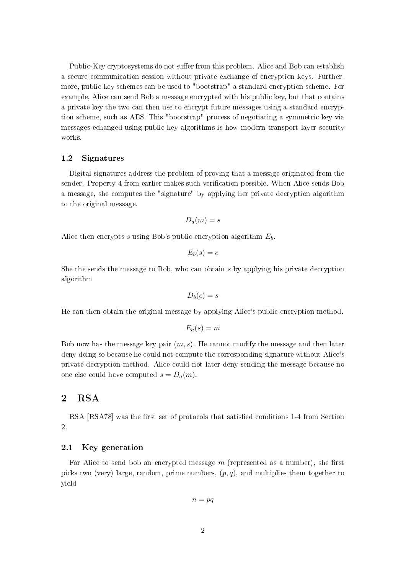Public-Key cryptosystems do not suffer from this problem. Alice and Bob can establish a secure communication session without private exchange of encryption keys. Furthermore, public-key schemes can be used to "bootstrap" a standard encryption scheme. For example, Alice can send Bob a message encrypted with his public key, but that contains a private key the two can then use to encrypt future messages using a standard encryption scheme, such as AES. This "bootstrap" process of negotiating a symmetric key via messages echanged using public key algorithms is how modern transport layer security works.

#### 1.2 Signatures

Digital signatures address the problem of proving that a message originated from the sender. Property 4 from earlier makes such verification possible. When Alice sends Bob a message, she computes the "signature" by applying her private decryption algorithm to the original message.

$$
D_a(m)=s
$$

Alice then encrypts s using Bob's public encryption algorithm  $E<sub>b</sub>$ .

$$
E_b(s) = c
$$

She the sends the message to Bob, who can obtain s by applying his private decryption algorithm

$$
D_b(c)=s
$$

He can then obtain the original message by applying Alice's public encryption method.

$$
E_a(s)=m
$$

Bob now has the message key pair  $(m, s)$ . He cannot modify the message and then later deny doing so because he could not compute the corresponding signature without Alice's private decryption method. Alice could not later deny sending the message because no one else could have computed  $s = D_a(m)$ .

## 2 RSA

RSA [RSA78] was the first set of protocols that satisfied conditions 1-4 from Section 2.

### 2.1 Key generation

For Alice to send bob an encrypted message  $m$  (represented as a number), she first picks two (very) large, random, prime numbers,  $(p, q)$ , and multiplies them together to yield

 $n = pq$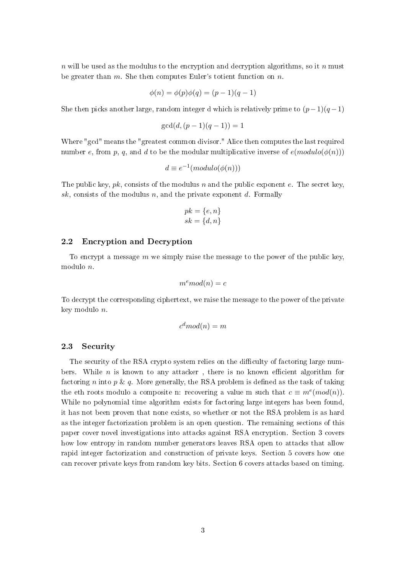$n$  will be used as the modulus to the encryption and decryption algorithms, so it n must be greater than  $m$ . She then computes Euler's totient function on  $n$ .

$$
\phi(n) = \phi(p)\phi(q) = (p-1)(q-1)
$$

She then picks another large, random integer d which is relatively prime to  $(p-1)(q-1)$ 

$$
\gcd(d, (p-1)(q-1)) = 1
$$

Where "gcd" means the "greatest common divisor." Alice then computes the last required number e, from p, q, and d to be the modular multiplicative inverse of  $e(modulo(\phi(n)))$ 

$$
d\equiv e^{-1}(modulo(\phi(n)))
$$

The public key,  $pk$ , consists of the modulus n and the public exponent e. The secret key, sk, consists of the modulus n, and the private exponent d. Formally

$$
pk = \{e, n\}
$$

$$
sk = \{d, n\}
$$

## 2.2 Encryption and Decryption

To encrypt a message  $m$  we simply raise the message to the power of the public key, modulo n.

$$
m^e \mod(n) = c
$$

To decrypt the corresponding ciphertext, we raise the message to the power of the private key modulo n.

$$
c^d \mod(n) = m
$$

## 2.3 Security

The security of the RSA crypto system relies on the difficulty of factoring large numbers. While  $n$  is known to any attacker, there is no known efficient algorithm for factoring n into  $p \& q$ . More generally, the RSA problem is defined as the task of taking the eth roots modulo a composite n: recovering a value m such that  $c \equiv m^e (mod(n))$ . While no polynomial time algorithm exists for factoring large integers has been found, it has not been proven that none exists, so whether or not the RSA problem is as hard as the integer factorization problem is an open question. The remaining sections of this paper cover novel investigations into attacks against RSA encryption. Section 3 covers how low entropy in random number generators leaves RSA open to attacks that allow rapid integer factorization and construction of private keys. Section 5 covers how one can recover private keys from random key bits. Section 6 covers attacks based on timing.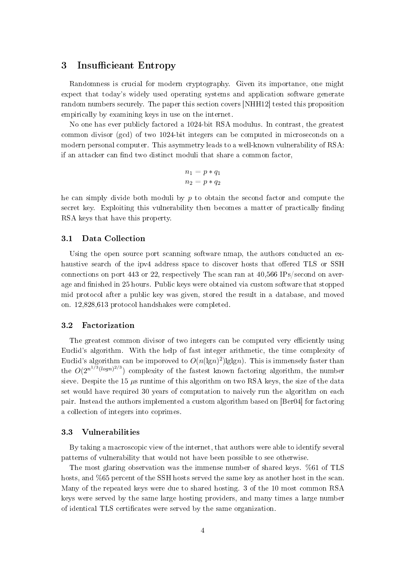## 3 Insufficieant Entropy

Randomness is crucial for modern cryptography. Given its importance, one might expect that today's widely used operating systems and application software generate random numbers securely. The paper this section covers [NHH12] tested this proposition empirically by examining keys in use on the internet.

No one has ever publicly factored a 1024-bit RSA modulus. In contrast, the greatest common divisor (gcd) of two 1024-bit integers can be computed in microseconds on a modern personal computer. This asymmetry leads to a well-known vulnerability of RSA: if an attacker can find two distinct moduli that share a common factor,

$$
n_1 = p * q_1
$$

$$
n_2 = p * q_2
$$

he can simply divide both moduli by  $p$  to obtain the second factor and compute the secret key. Exploiting this vulnerability then becomes a matter of practically finding RSA keys that have this property.

### 3.1 Data Collection

Using the open source port scanning software nmap, the authors conducted an exhaustive search of the ipv4 address space to discover hosts that offered TLS or SSH connections on port 443 or 22, respectively The scan ran at 40,566 IPs/second on average and finished in 25 hours. Public keys were obtained via custom software that stopped mid protocol after a public key was given, stored the result in a database, and moved on. 12,828,613 protocol handshakes were completed.

## 3.2 Factorization

The greatest common divisor of two integers can be computed very efficiently using Euclid's algorithm. With the help of fast integer arithmetic, the time complexity of Euclid's algorithm can be imporoved to  $O(n(\lg n)^2) \lg \lg n$ . This is immensely faster than the  $O(2^{n^{1/3}(\log n)^{2/3}})$  complexity of the fastest known factoring algorithm, the number sieve. Despite the 15  $\mu$ s runtime of this algorithm on two RSA keys, the size of the data set would have required 30 years of computation to naively run the algorithm on each pair. Instead the authors implemented a custom algorithm based on [Ber04] for factoring a collection of integers into coprimes.

#### 3.3 Vulnerabilities

By taking a macroscopic view of the internet, that authors were able to identify several patterns of vulnerability that would not have been possible to see otherwise.

The most glaring observation was the immense number of shared keys. %61 of TLS hosts, and %65 percent of the SSH hosts served the same key as another host in the scan. Many of the repeated keys were due to shared hosting. 3 of the 10 most common RSA keys were served by the same large hosting providers, and many times a large number of identical TLS certificates were served by the same organization.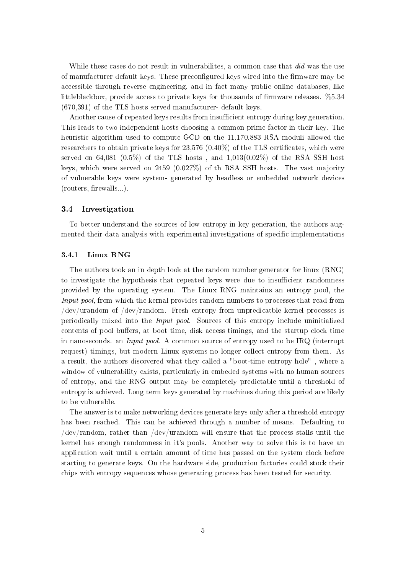While these cases do not result in vulnerabilites, a common case that did was the use of manufacturer-default keys. These preconfigured keys wired into the firmware may be accessible through reverse engineering, and in fact many public online databases, like littleblackbox, provide access to private keys for thousands of firmware releases.  $\%5.34$ (670,391) of the TLS hosts served manufacturer- default keys.

Another cause of repeated keys results from insufficient entropy during key generation. This leads to two independent hosts choosing a common prime factor in their key. The heuristic algorithm used to compute GCD on the 11,170,883 RSA moduli allowed the researchers to obtain private keys for  $23{,}576$  (0.40%) of the TLS certificates, which were served on 64,081 (0.5%) of the TLS hosts, and  $1,013(0.02\%)$  of the RSA SSH host keys, which were served on 2459 (0.027%) of th RSA SSH hosts. The vast majority of vulnerable keys were system- generated by headless or embedded network devices  $(routers, firewalls...).$ 

## 3.4 Investigation

To better understand the sources of low entropy in key generation, the authors augmented their data analysis with experimental investigations of specific implementations

#### 3.4.1 Linux RNG

The authors took an in depth look at the random number generator for linux (RNG) to investigate the hypothesis that repeated keys were due to insufficient randomness provided by the operating system. The Linux RNG maintains an entropy pool, the Input pool, from which the kernal provides random numbers to processes that read from /dev/urandom of /dev/random. Fresh entropy from unpredicatble kernel processes is periodically mixed into the Input pool. Sources of this entropy include uninitialized contents of pool buffers, at boot time, disk access timings, and the startup clock time in nanoseconds. an Input pool. A common source of entropy used to be IRQ (interrupt request) timings, but modern Linux systems no longer collect entropy from them. As a result, the authors discovered what they called a "boot-time entropy hole" , where a window of vulnerability exists, particularly in embeded systems with no human sources of entropy, and the RNG output may be completely predictable until a threshold of entropy is achieved. Long term keys generated by machines during this period are likely to be vulnerable.

The answer is to make networking devices generate keys only after a threshold entropy has been reached. This can be achieved through a number of means. Defaulting to /dev/random, rather than /dev/urandom will ensure that the process stalls until the kernel has enough randomness in it's pools. Another way to solve this is to have an application wait until a certain amount of time has passed on the system clock before starting to generate keys. On the hardware side, production factories could stock their chips with entropy sequences whose generating process has been tested for security.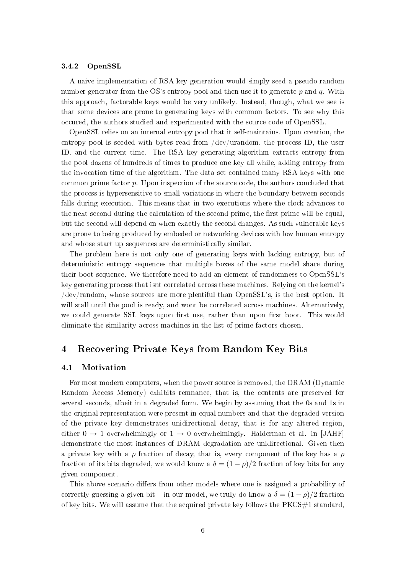#### 3.4.2 OpenSSL

A naive implementation of RSA key generation would simply seed a pseudo random number generator from the OS's entropy pool and then use it to generate  $p$  and  $q$ . With this approach, factorable keys would be very unlikely. Instead, though, what we see is that some devices are prone to generating keys with common factors. To see why this occured, the authors studied and experimented with the source code of OpenSSL.

OpenSSL relies on an internal entropy pool that it self-maintains. Upon creation, the entropy pool is seeded with bytes read from /dev/urandom, the process ID, the user ID, and the current time. The RSA key generating algorithm extracts entropy from the pool dozens of hundreds of times to produce one key all while, adding entropy from the invocation time of the algorithm. The data set contained many RSA keys with one common prime factor  $p$ . Upon inspection of the source code, the authors concluded that the process is hypersensitive to small variations in where the boundary between seconds falls during execution. This means that in two executions where the clock advances to the next second during the calculation of the second prime, the first prime will be equal but the second will depend on when exactly the second changes. As such vulnerable keys are prone to being produced by embeded or networking devices with low human entropy and whose start up sequences are deterministically similar.

The problem here is not only one of generating keys with lacking entropy, but of deterministic entropy sequences that multiple boxes of the same model share during their boot sequence. We therefore need to add an element of randomness to OpenSSL's key generating process that isnt correlated across these machines. Relying on the kernel's /dev/random, whose sources are more plentiful than OpenSSL's, is the best option. It will stall until the pool is ready, and wont be correlated across machines. Alternatively, we could generate SSL keys upon first use, rather than upon first boot. This would eliminate the similarity across machines in the list of prime factors chosen.

## 4 Recovering Private Keys from Random Key Bits

#### 4.1 Motivation

For most modern computers, when the power source is removed, the DRAM (Dynamic Random Access Memory) exhibits remnance, that is, the contents are preserved for several seconds, albeit in a degraded form. We begin by assuming that the 0s and 1s in the original representation were present in equal numbers and that the degraded version of the private key demonstrates unidirectional decay, that is for any altered region, either  $0 \to 1$  overwhelmingly or  $1 \to 0$  overwhelmingly. Halderman et al. in [JAHF] demonstrate the most instances of DRAM degradation are unidirectional. Given then a private key with a  $\rho$  fraction of decay, that is, every component of the key has a  $\rho$ fraction of its bits degraded, we would know a  $\delta = (1 - \rho)/2$  fraction of key bits for any given component.

This above scenario differs from other models where one is assigned a probability of correctly guessing a given bit – in our model, we truly do know a  $\delta = (1 - \rho)/2$  fraction of key bits. We will assume that the acquired private key follows the  $PKCS#1$  standard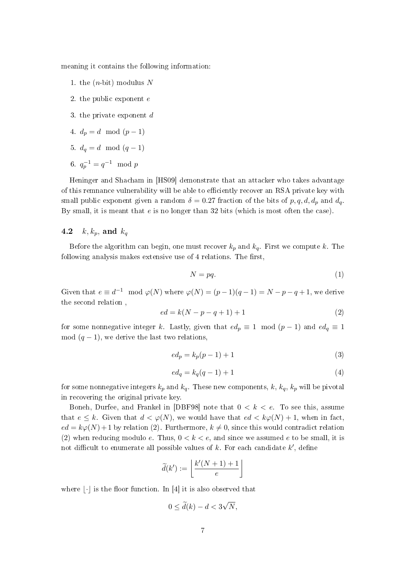meaning it contains the following information:

- 1. the  $(n\text{-}bit)$  modulus N
- 2. the public exponent e
- 3. the private exponent  $d$
- 4.  $d_p = d \mod (p-1)$
- 5.  $d_q = d \mod (q-1)$
- 6.  $q_p^{-1} = q^{-1} \mod p$

Heninger and Shacham in [HS09] demonstrate that an attacker who takes advantage of this remnance vulnerability will be able to efficiently recover an RSA private key with small public exponent given a random  $\delta = 0.27$  fraction of the bits of p, q, d,  $d_p$  and  $d_q$ By small, it is meant that  $e$  is no longer than 32 bits (which is most often the case).

## 4.2  $k, k_p$ , and  $k_q$

Before the algorithm can begin, one must recover  $k_p$  and  $k_q$ . First we compute k. The following analysis makes extensive use of  $4$  relations. The first,

$$
N = pq.
$$
 (1)

Given that  $e \equiv d^{-1} \mod \varphi(N)$  where  $\varphi(N) = (p-1)(q-1) = N-p-q+1$ , we derive the second relation ,

$$
ed = k(N - p - q + 1) + 1 \tag{2}
$$

for some nonnegative integer k. Lastly, given that  $ed_p \equiv 1 \mod (p-1)$  and  $ed_q \equiv 1$ mod  $(q-1)$ , we derive the last two relations,

$$
ed_p = k_p(p-1) + 1\tag{3}
$$

$$
ed_q = k_q(q-1) + 1 \tag{4}
$$

for some nonnegative integers  $k_p$  and  $k_q$ . These new components, k,  $k_q$ ,  $k_p$  will be pivotal in recovering the original private key.

Boneh, Durfee, and Frankel in  $[DBF98]$  note that  $0 < k < e$ . To see this, assume that  $e \leq k$ . Given that  $d < \varphi(N)$ , we would have that  $ed < k\varphi(N) + 1$ , when in fact  $ed = k\varphi(N) + 1$  by relation (2). Furthermore,  $k \neq 0$ , since this would contradict relation (2) when reducing modulo e. Thus,  $0 \lt k \lt e$ , and since we assumed e to be small, it is not difficult to enumerate all possible values of  $k$ . For each candidate  $k'$ , define

$$
\widetilde{d}(k') := \left\lfloor \frac{k'(N+1)+1}{e} \right\rfloor
$$

where  $|\cdot|$  is the floor function. In [4] it is also observed that

$$
0 \le \tilde{d}(k) - d < 3\sqrt{N},
$$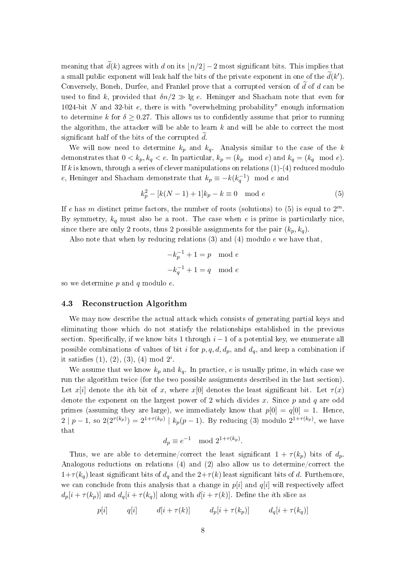meaning that  $\tilde{d}(k)$  agrees with d on its  $\lfloor n/2 \rfloor - 2$  most significant bits. This implies that a small public exponent will leak half the bits of the private exponent in one of the  $\widetilde{d}(k').$ Conversely, Boneh, Durfee, and Frankel prove that a corrupted version of  $\tilde{d}$  of d can be used to find k, provided that  $\delta n/2 \gg \lg e$ . Heninger and Shacham note that even for 1024-bit N and 32-bit e, there is with "overwhelming probability" enough information to determine k for  $\delta \geq 0.27$ . This allows us to confidently assume that prior to running the algorithm, the attacker will be able to learn  $k$  and will be able to correct the most significant half of the bits of the corrupted  $d$ .

We will now need to determine  $k_p$  and  $k_q$ . Analysis similar to the case of the k demonstrates that  $0 < k_p, k_q < e$ . In particular,  $k_p = (k_p \mod e)$  and  $k_q = (k_q \mod e)$ . If k is known, through a series of clever manipulations on relations  $(1)-(4)$  reduced modulo e, Heninger and Shacham demonstrate that  $k_p \equiv -k(k_q^{-1}) \mod e$  and

$$
k_p^2 - [k(N-1) + 1]k_p - k \equiv 0 \mod e \tag{5}
$$

If e has m distinct prime factors, the number of roots (solutions) to (5) is equal to  $2^m$ . By symmetry,  $k_q$  must also be a root. The case when e is prime is particularly nice, since there are only 2 roots, thus 2 possible assignments for the pair  $(k_p, k_q)$ .

Also note that when by reducing relations  $(3)$  and  $(4)$  modulo e we have that.

$$
-k_p^{-1} + 1 = p \mod e
$$

$$
-k_q^{-1} + 1 = q \mod e
$$

so we determine  $p$  and  $q$  modulo  $e$ .

#### 4.3 Reconstruction Algorithm

We may now describe the actual attack which consists of generating partial keys and eliminating those which do not statisfy the relationships established in the previous section. Specifically, if we know bits 1 through  $i - 1$  of a potential key, we enumerate all possible combinations of values of bit i for  $p, q, d, d_p$ , and  $d_q$ , and keep a combination if it satisfies  $(1), (2), (3), (4) \text{ mod } 2^i$ .

We assume that we know  $k_p$  and  $k_q$ . In practice, e is usually prime, in which case we run the algorithm twice (for the two possible assignments described in the last section). Let  $x[i]$  denote the ith bit of x, where  $x[0]$  denotes the least significant bit. Let  $\tau(x)$ denote the exponent on the largest power of 2 which divides x. Since  $p$  and  $q$  are odd primes (assuming they are large), we immediately know that  $p[0] = q[0] = 1$ . Hence  $2 \mid p-1$ , so  $2(2^{\tau(k_p)}) = 2^{1+\tau(k_p)} \mid k_p(p-1)$ . By reducing (3) modulo  $2^{1+\tau(k_p)}$ , we have that

$$
d_p \equiv e^{-1} \mod 2^{1+\tau(k_p)}.
$$

Thus, we are able to determine/correct the least significant  $1 + \tau(k_p)$  bits of  $d_p$ . Analogous reductions on relations (4) and (2) also allow us to determine/correct the  $1+\tau(k_q)$  least significant bits of  $d_q$  and the  $2+\tau(k)$  least significant bits of d. Furthemore we can conclude from this analysis that a change in  $p[i]$  and  $q[i]$  will respectively affect  $d_p[i + \tau(k_p)]$  and  $d_q[i + \tau(k_q)]$  along with  $d[i + \tau(k)]$ . Define the *i*th slice as

$$
p[i] \qquad q[i] \qquad d[i + \tau(k)] \qquad d_p[i + \tau(k_p)] \qquad d_q[i + \tau(k_q)]
$$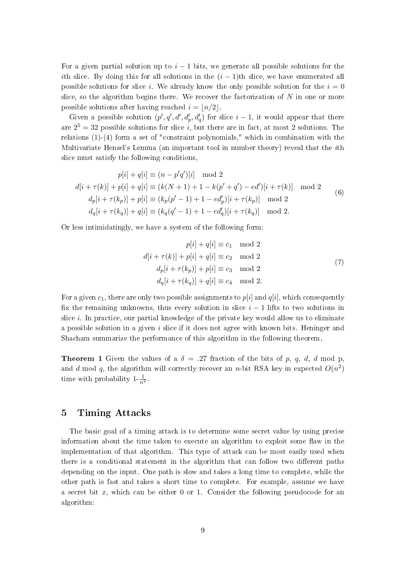For a given partial solution up to  $i - 1$  bits, we generate all possible solutions for the ith slice. By doing this for all solutions in the  $(i - 1)$ th slice, we have enumerated all possible solutions for slice i. We already know the only possible solution for the  $i = 0$ slice, so the algorithm begins there. We recover the factorization of  $N$  in one or more possible solutions after having reached  $i = \lfloor n/2 \rfloor$ .

Given a possible solution  $(p', q', d', d'_p, d'_q)$  for slice  $i - 1$ , it would appear that there are  $2^5 = 32$  possible solutions for slice i, but there are in fact, at most 2 solutions. The relations (1)-(4) form a set of "constraint polynomials," which in combination with the Multivariate Hensel's Lemma (an important tool in number theory) reveal that the ith slice must satisfy the following conditions,

$$
p[i] + q[i] \equiv (n - p'q')[i] \mod 2
$$
  
\n
$$
d[i + \tau(k)] + p[i] + q[i] \equiv (k(N + 1) + 1 - k(p' + q') - ed')[i + \tau(k)] \mod 2
$$
  
\n
$$
d_p[i + \tau(k_p)] + p[i] \equiv (k_p(p' - 1) + 1 - ed'_p)[i + \tau(k_p)] \mod 2
$$
  
\n
$$
d_q[i + \tau(k_q)] + q[i] \equiv (k_q(q' - 1) + 1 - ed'_q)[i + \tau(k_q)] \mod 2.
$$
\n(6)

Or less intimidatingly, we have a system of the following form:

$$
p[i] + q[i] \equiv c_1 \mod 2
$$
  
\n
$$
d[i + \tau(k)] + p[i] + q[i] \equiv c_2 \mod 2
$$
  
\n
$$
d_p[i + \tau(k_p)] + p[i] \equiv c_3 \mod 2
$$
  
\n
$$
d_q[i + \tau(k_q)] + q[i] \equiv c_4 \mod 2.
$$
\n(7)

For a given  $c_1$ , there are only two possible assignments to  $p[i]$  and  $q[i]$ , which consequently fix the remaining unknowns, thus every solution in slice  $i - 1$  lifts to two solutions in slice  $i$ . In practice, our partial knowledge of the private key would allow us to eliminate a possible solution in a given  $i$  slice if it does not agree with known bits. Heninger and Shacham summarize the performance of this algorithm in the following theorem,

**Theorem 1** Given the values of a  $\delta = .27$  fraction of the bits of p, q, d, d mod p and d mod q, the algorithm will correctly recover an n-bit RSA key in expected  $O(n^2)$ time with probability  $1-\frac{1}{n^2}$ .

## 5 Timing Attacks

The basic goal of a timing attack is to determine some secret value by using precise information about the time taken to execute an algorithm to exploit some flaw in the implementation of that algorithm. This type of attack can be most easily used when there is a conditional statement in the algorithm that can follow two different paths depending on the input. One path is slow and takes a long time to complete, while the other path is fast and takes a short time to complete. For example, assume we have a secret bit  $x$ , which can be either 0 or 1. Consider the following pseudocode for an algorithm: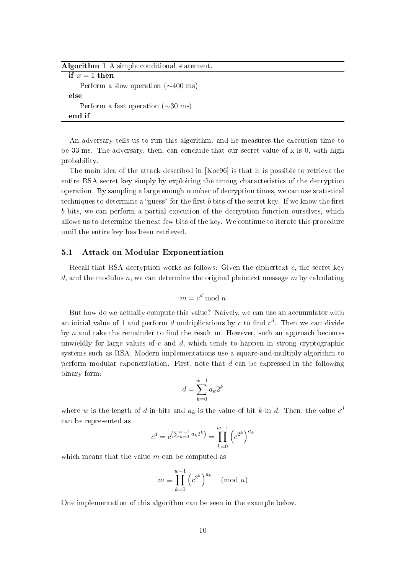| Algorithm 1 A simple conditional statement.      |
|--------------------------------------------------|
| if $x=1$ then                                    |
| Perform a slow operation $(\sim 400 \text{ ms})$ |
| else                                             |
| Perform a fast operation $(\sim 30 \text{ ms})$  |
| end if                                           |
|                                                  |

An adversary tells us to run this algorithm, and he measures the execution time to be 33 ms. The adversary, then, can conclude that our secret value of x is 0, with high probability.

The main idea of the attack described in [Koc96] is that it is possible to retrieve the entire RSA secret key simply by exploiting the timing characteristics of the decryption operation. By sampling a large enough number of decryption times, we can use statistical techniques to determine a "guess" for the first  $b$  bits of the secret key. If we know the first b bits, we can perform a partial execution of the decryption function ourselves, which allows us to determine the next few bits of the key. We continue to iterate this procedure until the entire key has been retrieved.

#### 5.1 Attack on Modular Exponentiation

Recall that RSA decryption works as follows: Given the ciphertext  $c$ , the secret key d, and the modulus n, we can determine the original plaintext message  $m$  by calculating

$$
m = c^d \bmod n
$$

But how do we actually compute this value? Naively, we can use an accumulator with an initial value of 1 and perform  $d$  multiplications by  $c$  to find  $c^d$ . Then we can divide by  $n$  and take the remainder to find the result m. However, such an approach becomes unwieldly for large values of c and  $d$ , which tends to happen in strong cryptographic systems such as RSA. Modern implementations use a square-and-multiply algorithm to perform modular exponentiation. First, note that  $d$  can be expressed in the following binary form:

$$
d=\sum_{k=0}^{w-1}a_k2^k
$$

where w is the length of d in bits and  $a_k$  is the value of bit k in d. Then, the value  $c^d$ can be represented as

$$
c^{d} = c^{\left(\sum_{k=0}^{w-1} a_k 2^k\right)} = \prod_{k=0}^{w-1} \left(c^{2^k}\right)^{a_k}
$$

which means that the value  $m$  can be computed as

$$
m \equiv \prod_{k=0}^{w-1} \left( c^{2^k} \right)^{a_k} \pmod{n}
$$

One implementation of this algorithm can be seen in the example below.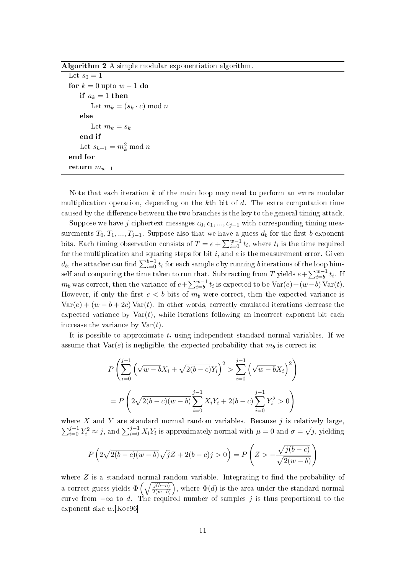Algorithm 2 A simple modular exponentiation algorithm.

Let  $s_0 = 1$ for  $k = 0$  upto  $w - 1$  do if  $a_k = 1$  then Let  $m_k = (s_k \cdot c) \mod n$ else Let  $m_k = s_k$ end if Let  $s_{k+1} = m_k^2 \bmod n$ end for return  $m_{w-1}$ 

Note that each iteration k of the main loop may need to perform an extra modular multiplication operation, depending on the kth bit of  $d$ . The extra computation time caused by the difference between the two branches is the key to the general timing attack.

Suppose we have j ciphertext messages  $c_0, c_1, ..., c_{i-1}$  with corresponding timing measurements  $T_0, T_1, ..., T_{j-1}$ . Suppose also that we have a guess  $d_b$  for the first  $b$  exponent bits. Each timing observation consists of  $T = e + \sum_{i=0}^{w-1} t_i$ , where  $t_i$  is the time required for the multiplication and squaring steps for bit  $i$ , and  $e$  is the measurement error. Given  $d_b,$  the attacker can find  $\sum_{i=0}^{b-1} t_i$  for each sample  $c$  by running  $b$  iterations of the loop himself and computing the time taken to run that. Subtracting from T yields  $e + \sum_{i=b}^{w-1} t_i$ . If  $m_b$  was correct, then the variance of  $e + \sum_{i=b}^{w-1} t_i$  is expected to be  $\text{Var}(e) + (w-b) \text{Var}(t)$ . However, if only the first  $c < b$  bits of  $m_b$  were correct, then the expected variance is  $Var(e) + (w - b + 2c) Var(t)$ . In other words, correctly emulated iterations decrease the expected variance by  $\text{Var}(t)$ , while iterations following an incorrect exponent bit each increase the variance by  $Var(t)$ .

It is possible to approximate  $t_i$  using independent standard normal variables. If we assume that  $Var(e)$  is negligible, the expected probability that  $m_b$  is correct is:

$$
P\left(\sum_{i=0}^{j-1} \left(\sqrt{w-b}X_i + \sqrt{2(b-c)}Y_i\right)^2 > \sum_{i=0}^{j-1} \left(\sqrt{w-b}X_i\right)^2\right)
$$
  
= 
$$
P\left(2\sqrt{2(b-c)(w-b)}\sum_{i=0}^{j-1} X_iY_i + 2(b-c)\sum_{i=0}^{j-1} Y_i^2 > 0\right)
$$

where X and Y are standard normal random variables. Because  $j$  is relatively large,  $\sum_{i=0}^{j-1} Y_i^2 \approx j$ , and  $\sum_{i=0}^{j-1} X_i Y_i$  is approximately normal with  $\mu = 0$  and  $\sigma =$ √  $\overline{j},$  yielding

$$
P\left(2\sqrt{2(b-c)(w-b)}\sqrt{j}Z + 2(b-c)j > 0\right) = P\left(Z > -\frac{\sqrt{j(b-c)}}{\sqrt{2(w-b)}}\right)
$$

where  $Z$  is a standard normal random variable. Integrating to find the probability of a correct guess yields  $\Phi\left(\sqrt{\frac{j(b-c)}{2(w-b)}}\right)$ , where  $\Phi(d)$  is the area under the standard normal curve from  $-\infty$  to d. The required number of samples j is thus proportional to the exponent size  $w$  [Koc96]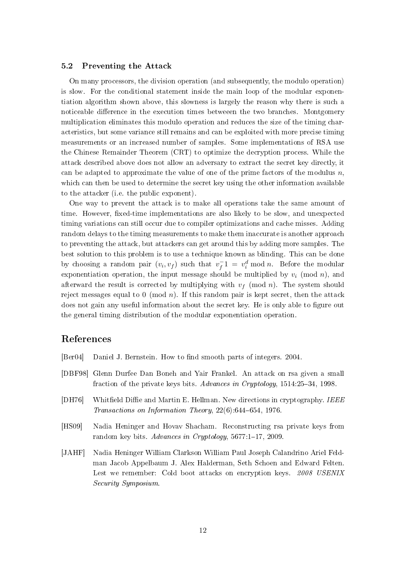## 5.2 Preventing the Attack

On many processors, the division operation (and subsequently, the modulo operation) is slow. For the conditional statement inside the main loop of the modular exponentiation algorithm shown above, this slowness is largely the reason why there is such a noticeable difference in the execution times betweeen the two branches. Montgomery multiplication eliminates this modulo operation and reduces the size of the timing characteristics, but some variance still remains and can be exploited with more precise timing measurements or an increased number of samples. Some implementations of RSA use the Chinese Remainder Theorem (CRT) to optimize the decryption process. While the attack described above does not allow an adversary to extract the secret key directly, it can be adapted to approximate the value of one of the prime factors of the modulus  $n$ which can then be used to determine the secret key using the other information available to the attacker (i.e. the public exponent).

One way to prevent the attack is to make all operations take the same amount of time. However, fixed-time implementations are also likely to be slow, and unexpected timing variations can still occur due to compiler optimizations and cache misses. Adding random delays to the timing measurements to make them inaccurate is another approach to preventing the attack, but attackers can get around this by adding more samples. The best solution to this problem is to use a technique known as blinding. This can be done by choosing a random pair  $(v_i, v_f)$  such that  $v_f^ \bar{f}_f^{-1} = v_i^d \bmod n$ . Before the modular exponentiation operation, the input message should be multiplied by  $v_i$  (mod n), and afterward the result is corrected by multiplying with  $v_f \pmod{n}$ . The system should reject messages equal to 0 (mod  $n$ ). If this random pair is kept secret, then the attack does not gain any useful information about the secret key. He is only able to figure out the general timing distribution of the modular exponentiation operation.

## References

- [Ber04] Daniel J. Bernstein. How to find smooth parts of integers. 2004.
- [DBF98] Glenn Durfee Dan Boneh and Yair Frankel. An attack on rsa given a small fraction of the private keys bits. Advances in Cryptology, 1514:25-34, 1998.
- [DH76] Whitfield Diffie and Martin E. Hellman. New directions in cryptography. IEEE Transactions on Information Theory,  $22(6)$ :644-654, 1976.
- [HS09] Nadia Heninger and Hovav Shacham. Reconstructing rsa private keys from random key bits. Advances in Cryptology,  $5677:1-17$ , 2009.
- [JAHF] Nadia Heninger William Clarkson William Paul Joseph Calandrino Ariel Feldman Jacob Appelbaum J. Alex Halderman, Seth Schoen and Edward Felten. Lest we remember: Cold boot attacks on encryption keys. 2008 USENIX Security Symposium.